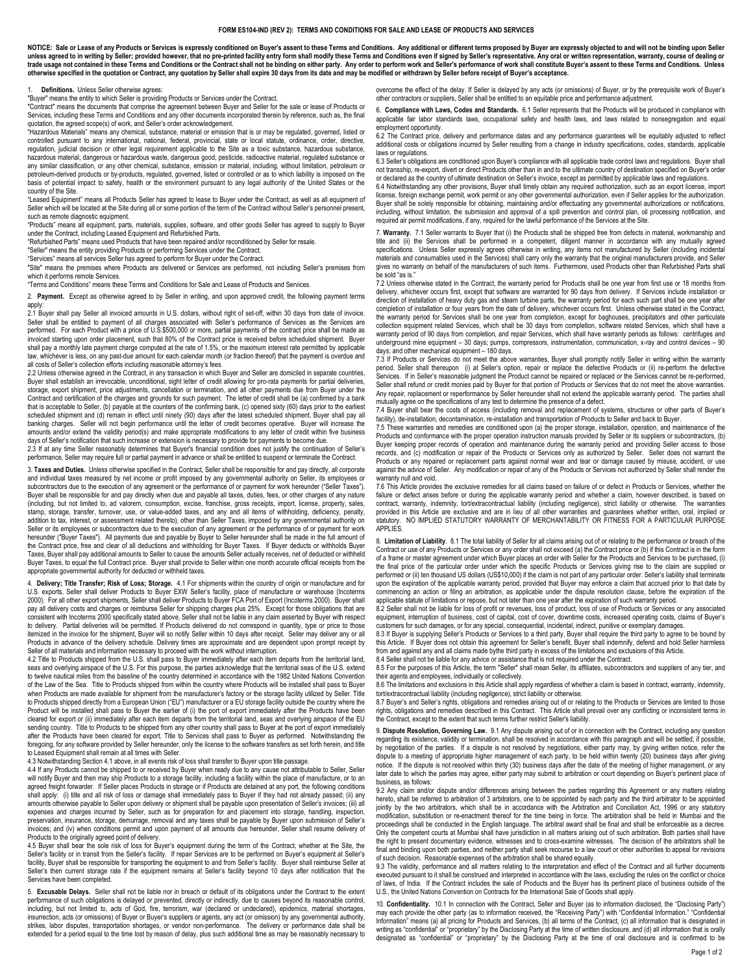## FORM ES104-IND (REV 2): TERMS AND CONDITIONS FOR SALE AND LEASE OF PRODUCTS AND SERVICES

NOTICE: Sale or Lease of any Products or Services is expressly conditioned on Buyer's assent to these Terms and Conditions. Any additional or different terms proposed by Buyer are expressly objected to and will not be bind trade usage not contained in these Terms and Conditions or the Contract shall not be binding on either party. Any order to perform work and Seller's performance of work shall constitute Buyer's assent to these Terms and Co otherwise specified in the quotation or Contract, any quotation by Seller shall expire 30 days from its date and may be modified or withdrawn by Seller before receipt of Buyer's acceptance.

## 1. Definitions. Unless Seller otherwise agrees:

"Buyer" means the entity to which Seller is providing Products or Services under the Contract.

"Contract" means the documents that comprise the agreement between Buyer and Seller for the sale or lease of Products or Services, including these Terms and Conditions and any other documents incorporated therein by reference, such as, the final quotation, the agreed scope(s) of work, and Seller's order acknowledgement.

"Hazardous Materials" means any chemical, substance, material or emission that is or may be regulated, governed, listed or controlled pursuant to any international, national, federal, provincial, state or local statute, ordinance, order, directive, regulation, judicial decision or other legal requirement applicable to the Site as a toxic substance, hazardous substance, hazardous material, dangerous or hazardous waste, dangerous good, pesticide, radioactive material, regulated substance or any similar classification, or any other chemical, substance, emission or material, including, without limitation, petroleum or petroleum or petroleum or petroleum or petroleum or petroleum or petroleum or petroleum or pet petroleum-derived products or by-products, regulated, governed, listed or controlled or as to which liability is imposed on basis of potential impact to safety, health or the environment pursuant to any legal authority of the United States or the country of the Site.

"Leased Equipment" means all Products Seller has agreed to lease to Buyer under the Contract, as well as all equipment of Seller which will be located at the Site during all or some portion of the term of the Contract without Seller's personnel present, such as remote diagnostic equipment.

"Products" means all equipment, parts, materials, supplies, software, and other goods Seller has agreed to supply to Buyer under the Contract, including Leased Equipment and Refurbished Parts.

"Refurbished Parts" means used Products that have been repaired and/or reconditioned by Seller for resale.

"Seller" means the entity providing Products or performing Services under the Contract. "Services" means all services Seller has agreed to perform for Buyer under the Contract.

"Site" means the premises where Products are delivered or Services are performed, not including Seller's premises from which it performs remote Services.

"Terms and Conditions" means these Terms and Conditions for Sale and Lease of Products and Services.

2. Payment. Except as otherwise agreed to by Seller in writing, and upon approved credit, the following payment terms apply:

2.1 Buyer shall pay Seller all invoiced amounts in U.S. dollars, without right of set-off, within 30 days from date of invoice. Seller shall be entitled to payment of all charges associated with Seller's performance of Services as the Services are performed. For each Product with a price of U.S.\$500,000 or more, partial payments of the contract price shall be made as invoiced starting upon order placement, such that 80% of the Contract price is received before scheduled shipment. Buyer shall pay a monthly late payment charge computed at the rate of 1.5%, or the maximum interest rate permitted by applicable law, whichever is less, on any past-due amount for each calendar month (or fraction thereof) that the payment is overdue and all costs of Seller's collection efforts including reasonable attorney's fees.

2.2 Unless otherwise agreed in the Contract, in any transaction in which Buyer and Seller are domiciled in separate countries, Buyer shall establish an irrevocable, unconditional, sight letter of credit allowing for pro-rata payments for partial deliveries, storage, export shipment, price adjustments, cancellation or termination, and all other payments due from Buyer under the Contract and certification of the charges and grounds for such payment. The letter of credit shall be (a) confirmed by a bank that is acceptable to Seller, (b) payable at the counters of the confirming bank, (c) opened sixty (60) days prior to the earliest scheduled shipment and (d) remain in effect until ninety (90) days after the latest scheduled shipment. Buyer shall pay all banking charges. Seller will not begin performance until the letter of credit becomes operative. Buyer will increase the amounts and/or extend the validity period(s) and make appropriate modifications to any letter of credit within five business days of Seller's notification that such increase or extension is necessary to provide for payments to become due.

2.3 If at any time Seller reasonably determines that Buyer's financial condition does not justify the continuation of Seller's performance, Seller may require full or partial payment in advance or shall be entitled to suspend or terminate the Contract.

3. Taxes and Duties. Unless otherwise specified in the Contract, Seller shall be responsible for and pay directly, all corporate and individual taxes measured by net income or profit imposed by any governmental authority on Seller, its employees or subcontractors due to the execution of any agreement or the performance of or payment for work hereunder ("Seller Taxes"). Buyer shall be responsible for and pay directly when due and payable all taxes, duties, fees, or other charges of any nature (including, but not limited to, ad valorem, consumption, excise, franchise, gross receipts, import, license, property, sales, stamp, storage, transfer, turnover, use, or value-added taxes, and any and all items of withholding, deficiency, penalty, addition to tax, interest, or assessment related thereto), other than Seller Taxes, imposed by any governmental authority on Seller or its employees or subcontractors due to the execution of any agreement or the performance of or payment for work hereunder ("Buyer Taxes"). All payments due and payable by Buyer to Seller hereunder shall be made in the full amount of the Contract price, free and clear of all deductions and withholding for Buyer Taxes. If Buyer deducts or withholds Buyer Taxes, Buyer shall pay additional amounts to Seller to cause the amounts Seller actually receives, net of deducted or withheld Buyer Taxes, to equal the full Contract price. Buyer shall provide to Seller within one month accurate official receipts from the appropriate governmental authority for deducted or withheld taxes.

4. D**elivery; Title Transfer; Risk of Loss; Storage.** 4.1 For shipments within the country of origin or manufacture and for<br>U.S. exports, Seller shall deliver Products to Buyer EXW Seller's facility, place of manufacture o 2000). For all other export shipments, Seller shall deliver Products to Buyer FCA Port of Export (Incoterms 2000). Buyer shall pay all delivery costs and charges or reimburse Seller for shipping charges plus 25%. Except for those obligations that are<br>consistent with Incoterms 2000 specifically stated above, Seller shall not be liable in any claim to delivery. Partial deliveries will be permitted. If Products delivered do not correspond in quantity, type or price to those itemized in the invoice for the shipment, Buyer will so notify Seller within 10 days after receipt. Seller may deliver any or all Products in advance of the delivery schedule. Delivery times are approximate and are dependent upon prompt receipt by Seller of all materials and information necessary to proceed with the work without interruption.<br>4.2 Title to Products shipped from the U.S. shall pass to Buyer immediately after each item departs from the territorial land

seas and overlying airspace of the U.S. For this purpose, the parties acknowledge that the territorial seas of the U.S. extend to twelve nautical miles from the baseline of the country determined in accordance with the 1982 United Nations Convention of the Law of the Sea. Title to Products shipped from within the country where Products will be installed shall pass to Buyer when Products are made available for shipment from the manufacturer's factory or the storage facility utilized by Seller. Title to Products shipped directly from a European Union ("EU") manufacturer or a EU storage facility outside the country where the Product will be installed shall pass to Buyer the earlier of (i) the port of export immediately after the Products have been cleared for export or (ii) immediately after each item departs from the territorial land, seas and overlying airspace of the EU sending country. Title to Products to be shipped from any other country shall pass to Buyer at the port of export immediately after the Products have been cleared for export. Title to Services shall pass to Buyer as performed. Notwithstanding the<br>foregoing, for any software provided by Seller hereunder, only the license to the software transfers ased Equipment shall remain at all times with Seller.

4.3 Notwithstanding Section 4.1 above, in all events risk of loss shall transfer to Buyer upon title passage.

4.4 If any Products cannot be shipped to or received by Buyer when ready due to any cause not attributable to Seller, Seller will notify Buyer and then may ship Products to a storage facility, including a facility within the place of manufacture, or to an agreed freight forwarder. If Seller places Products in storage or if Products are detained at any port, the following conditions shall apply: (i) title and all risk of loss or damage shall immediately pass to Buyer if they had not already passed; (ii) any amounts otherwise payable to Seller upon delivery or shipment shall be payable upon presentation of Seller's invoices; (iii) all expenses and charges incurred by Seller, such as for preparation for and placement into storage, handling, inspection, preservation, insurance, storage, demurrage, removal and any taxes shall be payable by Buyer upon submission of Seller's invoices; and (iv) when conditions permit and upon payment of all amounts due hereunder, Seller shall resume delivery of Products to the originally agreed point of delivery.

4.5 Buyer shall bear the sole risk of loss for Buyer's equipment during the term of the Contract, whether at the Site, the Seller's facility or in transit from the Seller's facility. If repair Services are to be performed on Buyer's equipment at Seller's facility, Buyer shall be responsible for transporting the equipment to and from Seller's facility. Buyer shall reimburse Seller at Seller's then current storage rate if the equipment remains at Seller's facility beyond 10 days after notification that the Services have been completed.

5. Excusable Delays. Seller shall not be liable nor in breach or default of its obligations under the Contract to the extent performance of such obligations is delayed or prevented, directly or indirectly, due to causes beyond its reasonable control, including, but not limited to, acts of God, fire, terrorism, war (declared or undeclared), epidemics, material shortages, insurrection, acts (or omissions) of Buyer or Buyer's suppliers or agents, any act (or omission) by any governmental authority, strikes, labor disputes, transportation shortages, or vendor non-performance. The delivery or performance date shall be extended for a period equal to the time lost by reason of delay, plus such additional time as may be reasonably necessary to

overcome the effect of the delay. If Seller is delayed by any acts (or omissions) of Buyer, or by the prerequisite work of Buyer's other contractors or suppliers, Seller shall be entitled to an equitable price and performance adjustment.

6. Compliance with Laws, Codes and Standards. 6.1 Seller represents that the Products will be produced in compliance with applicable fair labor standards laws, occupational safety and health laws, and laws related to nonsegregation and equal employment opportunity.

6.2 The Contract price, delivery and performance dates and any performance guarantees will be equitably adjusted to reflect additional costs or obligations incurred by Seller resulting from a change in industry specifications, codes, standards, applicable laws or regulations.

6.3 Seller's obligations are conditioned upon Buyer's compliance with all applicable trade control laws and regulations. Buyer shall not transship, re-export, divert or direct Products other than in and to the ultimate country of destination specified on Buyer's order or declared as the country of ultimate destination on Seller's invoice, except as permitted by applicable laws and regulations.

6.4 Notwithstanding any other provisions, Buyer shall timely obtain any required authorization, such as an export license, import license, foreign exchange permit, work permit or any other governmental authorization, even if Seller applies for the authorization. Buyer shall be solely responsible for obtaining, maintaining and/or effectuating any governmental authorizations or notifications, including, without limitation, the submission and approval of a spill prevention and control plan, oil processing notification, and required air permit modifications, if any, required for the lawful performance of the Services at the Site.

7. Warranty. 7.1 Seller warrants to Buyer that (i) the Products shall be shipped free from defects in material, workmanship and title and (ii) the Services shall be performed in a competent, diligent manner in accordance with any mutually agreed specifications. Unless Seller expressly agrees otherwise in writing, any items not manufactured by Seller (including incidental materials and consumables used in the Services) shall carry only the warranty that the original manufacturers provide, and Seller gives no warranty on behalf of the manufacturers of such items. Furthermore, used Products other than Refurbished Parts shall be sold "as is."

7.2 Unless otherwise stated in the Contract, the warranty period for Products shall be one year from first use or 18 months from delivery, whichever occurs first, except that software are warranted for 90 days from delivery. If Services include installation or direction of installation of heavy duty gas and steam turbine parts, the warranty period for each such part shall be one year after completion of installation or four years from the date of delivery, whichever occurs first. Unless otherwise stated in the Contract, the warranty period for Services shall be one year from completion, except for baghouses, precipitators and other particulate<br>collection equipment related Services, which shall be 30 days from completion, software related warranty period of 90 days from completion, and repair Services, which shall have warranty periods as follows: centrifuges and underground mine equipment – 30 days; pumps, compressors, instrumentation, communication, x-ray and control devices – 90 days; and other mechanical equipment – 180 days.

7.3 If Products or Services do not meet the above warranties, Buyer shall promptly notify Seller in writing within the warranty period. Seller shall thereupon (i) at Seller's option, repair or replace the defective Products or (ii) re-perform the defective Services. If in Seller's reasonable judgment the Product cannot be repaired or replaced or the Services cannot be re-performed, Seller shall refund or credit monies paid by Buyer for that portion of Products or Services that do not meet the above warranties. Any repair, replacement or reperformance by Seller hereunder shall not extend the applicable warranty period. The parties shall mutually agree on the specifications of any test to determine the presence of a defect.

7.4 Buyer shall bear the costs of access (including removal and replacement of systems, structures or other parts of Buyer's facility), de-installation, decontamination, re-installation and transportation of Products to Seller and back to Buyer.

7.5 These warranties and remedies are conditioned upon (a) the proper storage, installation, operation, and maintenance of the Products and conformance with the proper operation instruction manuals provided by Seller or its suppliers or subcontractors, (b) Buyer keeping proper records of operation and maintenance during the warranty period and providing Seller access to those records, and (c) modification or repair of the Products or Services only as authorized by Seller. Seller does not warrant the Products or any repaired or replacement parts against normal wear and tear or damage caused by misuse, accident, or use against the advice of Seller. Any modification or repair of any of the Products or Services not authorized by Seller shall render the warranty null and void.

7.6 This Article provides the exclusive remedies for all claims based on failure of or defect in Products or Services, whether the failure or defect arises before or during the applicable warranty period and whether a claim, however described, is based on<br>contract, warranty, indemnity, tort/extracontractual liability (including negligence), strict lia provided in this Article are exclusive and are in lieu of all other warranties and guarantees whether written, oral, implied or<br>statutory. NO IMPLIED STATUTORY WARRANTY OF MERCHANTABILITY OR FITNESS FOR A PARTICULAR PURPO APPLIES.

8. Limitation of Liability. 8.1 The total liability of Seller for all claims arising out of or relating to the performance or breach of the Contract or use of any Products or Services or any order shall not exceed (a) the Contract price or (b) if this Contract is in the form of a frame or master agreement under which Buyer places an order with Seller for the Products and Services to be purchased, (i) the final price of the particular order under which the specific Products or Services giving rise to the claim are supplied or performed or (ii) ten thousand US dollars (US\$10,000) if the claim is not part of any particular order. Seller's liability shall terminate upon the expiration of the applicable warranty period, provided that Buyer may enforce a claim that accrued prior to that date by commencing an action or filing an arbitration, as applicable under the dispute resolution clause, before the expiration of the applicable statute of limitations or repose, but not later than one year after the expiration of such warranty period.

8.2 Seller shall not be liable for loss of profit or revenues, loss of product, loss of use of Products or Services or any associated equipment, interruption of business, cost of capital, cost of cover, downtime costs, increased operating costs, claims of Buyer's

customers for such damages, or for any special, consequential, incidental, indirect, punitive or exemplary damages.<br>8.3 If Buyer is supplying Seller's Products or Services to a third party, Buyer shall require the third pa this Article. If Buyer does not obtain this agreement for Seller's benefit, Buyer shall indemnify, defend and hold Seller harmless

from and against any and all claims made bythe third party in excess of the limitations and exclusions of this Article. 8.4 Seller shall not be liable for any advice or assistance that is not required under the Contract.

8.5 For the purposes of this Article, the term "Seller" shall mean Seller, its affiliates, subcontractors and suppliers of any tier, and their agents and employees, individually or collectively. 8.6 The limitations and exclusions in this Article shall apply regardless of whether a claim is based in contract, warranty, indemnity,

tort/extracontractual liability (including negligence), strict liability or otherwise. 8.7 Buyer's and Seller's rights, obligations and remedies arising out of or relating to the Products or Services are limited to those

rights, obligations and remedies described in this Contract. This Article shall prevail over any conflicting or inconsistent terms in the Contract, except to the extent that such terms further restrict Seller's liability.

9. Dispute Resolution, Governing Law. 9.1 Any dispute arising out of or in connection with the Contract, including any question regarding its existence, validity or termination, shall be resolved in accordance with this paragraph and will be settled, if possible, by negotiation of the parties. If a dispute is not resolved by negotiations, either party may, by giving written notice, refer the<br>dispute to a meeting of appropriate higher management of each party, to be held within twen notice. If the dispute is not resolved within thirty (30) business days after the date of the meeting of higher management, or any later date to which the parties may agree, either party may submit to arbitration or court depending on Buyer's pertinent place of business, as follows:

9.2 Any claim and/or dispute and/or differences arising between the parties regarding this Agreement or any matters relating hereto, shall be referred to arbitration of 3 arbitrators, one to be appointed by each party and the third arbitrator to be appointed jointly by the two arbitrators, which shall be in accordance with the Arbitration and Conciliation Act, 1996 or any statutory modification, substitution or re-enactment thereof for the time being in force. The arbitration shall be held in Mumbai and the proceedings shall be conducted in the English language. The arbitral award shall be final and shall be enforceable as a decree. Only the competent courts at Mumbai shall have jurisdiction in all matters arising out of such arbitration. Both parties shall have the right to present documentary evidence, witnesses and to cross-examine witnesses. The decision of the arbitrators shall be final and binding upon both parties, and neither party shall seek recourse to a law court or other authorities to appeal for revisions of such decision. Reasonable expenses of the arbitration shall be shared equally.

9.3 The validity, performance and all matters relating to the interpretation and effect of the Contract and all further documents executed pursuant to it shall be construed and interpreted in accordance with the laws, excluding the rules on the conflict or choice of laws, of India. If the Contract includes the sale of Products and the Buyer has its pertinent place of business outside of the U.S., the United Nations Convention on Contracts for the International Sale of Goods shall apply.

10. Confidentiality. 10.1 In connection with the Contract, Seller and Buyer (as to information disclosed, the "Disclosing Party") may each provide the other party (as to information received, the "Receiving Party") with "Confidential Information." "Confidential Information" means (a) all pricing for Products and Services, (b) all terms of the Contract, (c) all information that is designated in writing as "confidential" or "proprietary" by the Disclosing Party at the time of written disclosure, and (d) all information that is orally<br>designated as "confidential" or "proprietary" by the Disclosing Party at